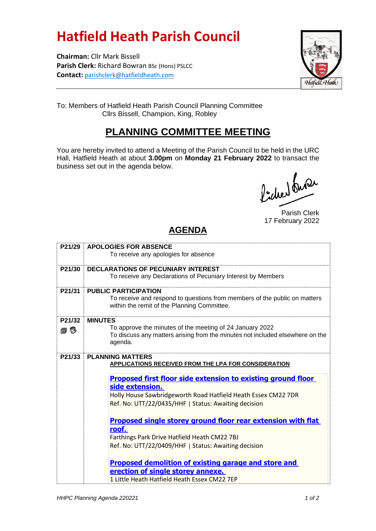## **Hatfield Heath Parish Council**

**Chairman:** Cllr Mark Bissell **Parish Clerk:** Richard Bowran BSc (Hons) PSLCC **Contact:** [parishclerk@hatfieldheath.com](mailto:parishclerk@hatfieldheath.com)



To: Members of Hatfield Heath Parish Council Planning Committee Cllrs Bissell, Champion, King, Robley

## **PLANNING COMMITTEE MEETING**

You are hereby invited to attend a Meeting of the Parish Council to be held in the URC Hall, Hatfield Heath at about **3.00pm** on **Monday 21 February 2022** to transact the business set out in the agenda below.

faction buse

Parish Clerk 17 February 2022

## **AGENDA**

| P21/29     | <b>APOLOGIES FOR ABSENCE</b>                                                             |
|------------|------------------------------------------------------------------------------------------|
|            | To receive any apologies for absence                                                     |
| P21/30     | <b>DECLARATIONS OF PECUNIARY INTEREST</b>                                                |
|            | To receive any Declarations of Pecuniary Interest by Members                             |
| P21/31     | <b>PUBLIC PARTICIPATION</b>                                                              |
|            | To receive and respond to questions from members of the public on matters                |
|            | within the remit of the Planning Committee.                                              |
| P21/32     | <b>MINUTES</b>                                                                           |
| <i>日 ひ</i> | To approve the minutes of the meeting of 24 January 2022                                 |
|            | To discuss any matters arising from the minutes not included elsewhere on the<br>agenda. |
|            |                                                                                          |
| P21/33     | <b>PLANNING MATTERS</b>                                                                  |
|            | APPLICATIONS RECEIVED FROM THE LPA FOR CONSIDERATION                                     |
|            | <b>Proposed first floor side extension to existing ground floor</b>                      |
|            | side extension.                                                                          |
|            | Holly House Sawbridgeworth Road Hatfield Heath Essex CM22 7DR                            |
|            | Ref. No: UTT/22/0435/HHF   Status: Awaiting decision                                     |
|            | <b>Proposed single storey ground floor rear extension with flat</b>                      |
|            | roof.                                                                                    |
|            | Farthings Park Drive Hatfield Heath CM22 7BJ                                             |
|            | Ref. No: UTT/22/0409/HHF   Status: Awaiting decision                                     |
|            | <b>Proposed demolition of existing garage and store and</b>                              |
|            | erection of single storey annexe.                                                        |
|            | 1 Little Heath Hatfield Heath Essex CM22 7EP                                             |